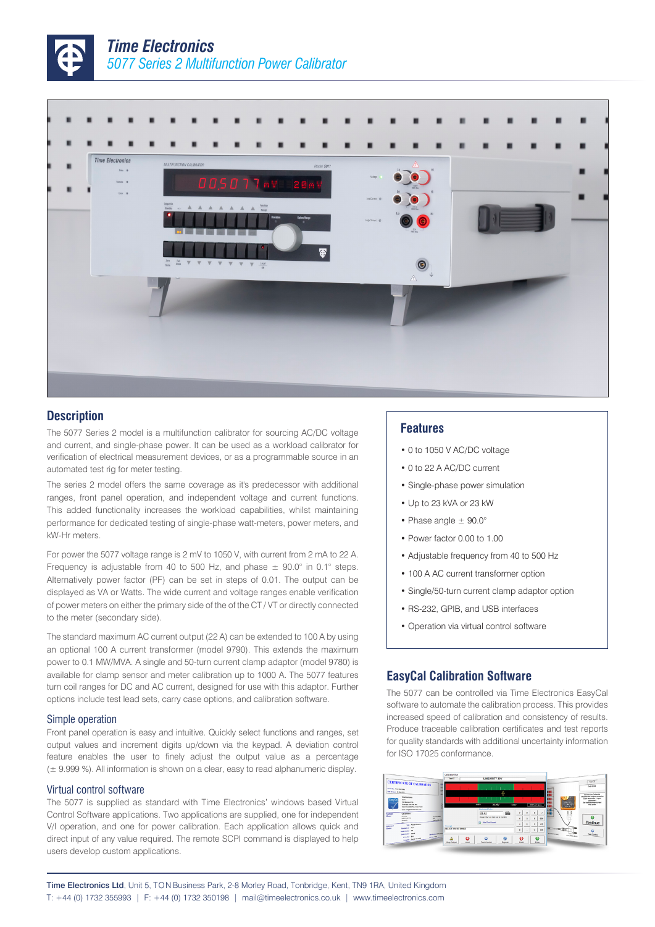



### **Description**

The 5077 Series 2 model is a multifunction calibrator for sourcing AC/DC voltage and current, and single-phase power. It can be used as a workload calibrator for verification of electrical measurement devices, or as a programmable source in an automated test rig for meter testing.

The series 2 model offers the same coverage as it's predecessor with additional ranges, front panel operation, and independent voltage and current functions. This added functionality increases the workload capabilities, whilst maintaining performance for dedicated testing of single-phase watt-meters, power meters, and kW-Hr meters.

For power the 5077 voltage range is 2 mV to 1050 V, with current from 2 mA to 22 A. Frequency is adjustable from 40 to 500 Hz, and phase  $\pm$  90.0° in 0.1° steps. Alternatively power factor (PF) can be set in steps of 0.01. The output can be displayed as VA or Watts. The wide current and voltage ranges enable verification of power meters on either the primary side of the of the CT / VT or directly connected to the meter (secondary side).

The standard maximum AC current output (22 A) can be extended to 100 A by using an optional 100 A current transformer (model 9790). This extends the maximum power to 0.1 MW/MVA. A single and 50-turn current clamp adaptor (model 9780) is available for clamp sensor and meter calibration up to 1000 A. The 5077 features turn coil ranges for DC and AC current, designed for use with this adaptor. Further options include test lead sets, carry case options, and calibration software.

#### Simple operation

Front panel operation is easy and intuitive. Quickly select functions and ranges, set output values and increment digits up/down via the keypad. A deviation control feature enables the user to finely adjust the output value as a percentage (± 9.999 %). All information is shown on a clear, easy to read alphanumeric display.

#### Virtual control software

The 5077 is supplied as standard with Time Electronics' windows based Virtual Control Software applications. Two applications are supplied, one for independent V/I operation, and one for power calibration. Each application allows quick and direct input of any value required. The remote SCPI command is displayed to help users develop custom applications.

#### **Features**

- 0 to 1050 V AC/DC voltage
- 0 to 22 A AC/DC current
- Single-phase power simulation
- Up to 23 kVA or 23 kW
- Phase angle  $\pm$  90.0°
- Power factor 0.00 to 1.00
- Adjustable frequency from 40 to 500 Hz
- 100 A AC current transformer option
- Single/50-turn current clamp adaptor option
- RS-232, GPIB, and USB interfaces
- Operation via virtual control software

#### **EasyCal Calibration Software**

The 5077 can be controlled via Time Electronics EasyCal software to automate the calibration process. This provides increased speed of calibration and consistency of results. Produce traceable calibration certificates and test reports for quality standards with additional uncertainty information for ISO 17025 conformance.